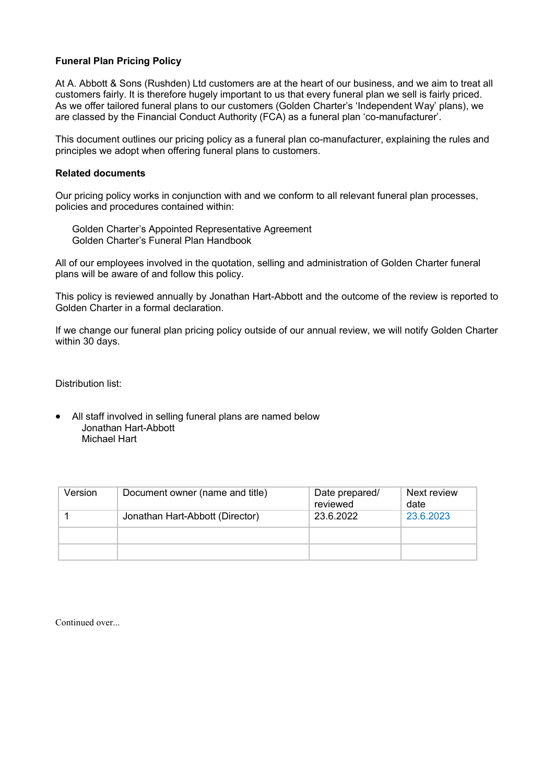## **Funeral Plan Pricing Policy**

At A. Abbott & Sons (Rushden) Ltd customers are at the heart of our business, and we aim to treat all customers fairly. It is therefore hugely important to us that every funeral plan we sell is fairly priced. As we offer tailored funeral plans to our customers (Golden Charter's 'Independent Way' plans), we are classed by the Financial Conduct Authority (FCA) as a funeral plan 'co-manufacturer'.

This document outlines our pricing policy as a funeral plan co-manufacturer, explaining the rules and principles we adopt when offering funeral plans to customers.

## **Related documents**

Our pricing policy works in conjunction with and we conform to all relevant funeral plan processes, policies and procedures contained within:

Golden Charter's Appointed Representative Agreement Golden Charter's Funeral Plan Handbook

All of our employees involved in the quotation, selling and administration of Golden Charter funeral plans will be aware of and follow this policy.

This policy is reviewed annually by Jonathan Hart-Abbott and the outcome of the review is reported to Golden Charter in a formal declaration.

If we change our funeral plan pricing policy outside of our annual review, we will notify Golden Charter within 30 days.

Distribution list:

 All staff involved in selling funeral plans are named below Jonathan Hart-Abbott Michael Hart

| Version | Document owner (name and title) | Date prepared/<br>reviewed | Next review<br>date |
|---------|---------------------------------|----------------------------|---------------------|
|         | Jonathan Hart-Abbott (Director) | 23.6.2022                  | 23.6.2023           |
|         |                                 |                            |                     |
|         |                                 |                            |                     |

Continued over...